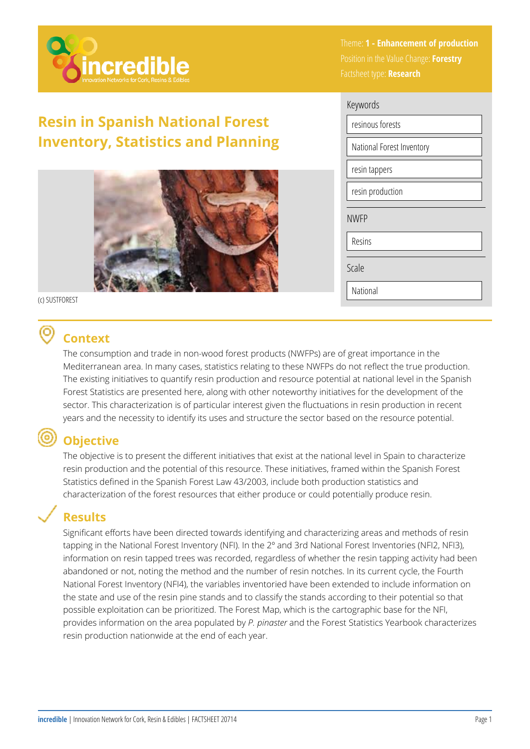

## **Resin in Spanish National Forest Inventory, Statistics and Planning**



(c) SUSTFOREST

# **Context**

The consumption and trade in non-wood forest products (NWFPs) are of great importance in the Mediterranean area. In many cases, statistics relating to these NWFPs do not reflect the true production. The existing initiatives to quantify resin production and resource potential at national level in the Spanish Forest Statistics are presented here, along with other noteworthy initiatives for the development of the sector. This characterization is of particular interest given the fluctuations in resin production in recent years and the necessity to identify its uses and structure the sector based on the resource potential.

# **Objective**

The objective is to present the different initiatives that exist at the national level in Spain to characterize resin production and the potential of this resource. These initiatives, framed within the Spanish Forest Statistics defined in the Spanish Forest Law 43/2003, include both production statistics and characterization of the forest resources that either produce or could potentially produce resin.

#### **Results**

Significant efforts have been directed towards identifying and characterizing areas and methods of resin tapping in the National Forest Inventory (NFI). In the 2º and 3rd National Forest Inventories (NFI2, NFI3), information on resin tapped trees was recorded, regardless of whether the resin tapping activity had been abandoned or not, noting the method and the number of resin notches. In its current cycle, the Fourth National Forest Inventory (NFI4), the variables inventoried have been extended to include information on the state and use of the resin pine stands and to classify the stands according to their potential so that possible exploitation can be prioritized. The Forest Map, which is the cartographic base for the NFI, provides information on the area populated by *P. pinaster* and the Forest Statistics Yearbook characterizes resin production nationwide at the end of each year.

Theme: **1 - Enhancement of production**  Position in the Value Change: **Forestry**  Factsheet type: **Research** 

| Keywords                  |  |  |  |
|---------------------------|--|--|--|
| resinous forests          |  |  |  |
| National Forest Inventory |  |  |  |
| resin tappers             |  |  |  |
| resin production          |  |  |  |
| <b>NWFP</b>               |  |  |  |
| Resins                    |  |  |  |
| Scale                     |  |  |  |
| National                  |  |  |  |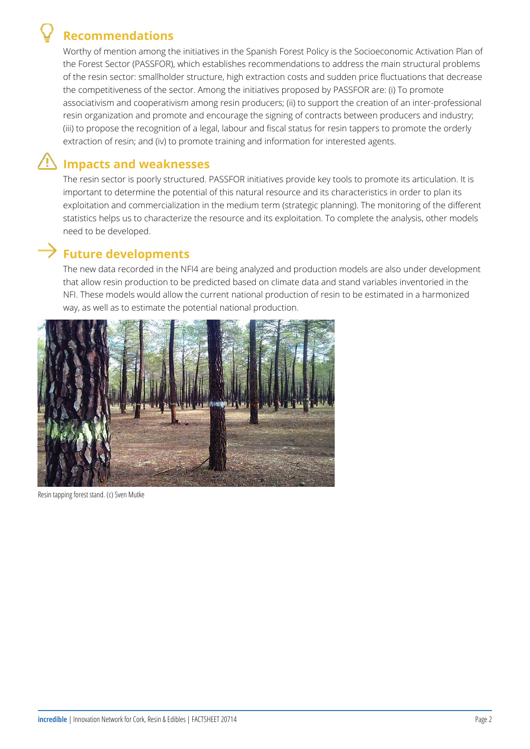### **Recommendations**



Worthy of mention among the initiatives in the Spanish Forest Policy is the Socioeconomic Activation Plan of the Forest Sector (PASSFOR), which establishes recommendations to address the main structural problems of the resin sector: smallholder structure, high extraction costs and sudden price fluctuations that decrease the competitiveness of the sector. Among the initiatives proposed by PASSFOR are: (i) To promote associativism and cooperativism among resin producers; (ii) to support the creation of an inter-professional resin organization and promote and encourage the signing of contracts between producers and industry; (iii) to propose the recognition of a legal, labour and fiscal status for resin tappers to promote the orderly extraction of resin; and (iv) to promote training and information for interested agents.

# **Impacts and weaknesses**

The resin sector is poorly structured. PASSFOR initiatives provide key tools to promote its articulation. It is important to determine the potential of this natural resource and its characteristics in order to plan its exploitation and commercialization in the medium term (strategic planning). The monitoring of the different statistics helps us to characterize the resource and its exploitation. To complete the analysis, other models need to be developed.

#### **Future developments**

The new data recorded in the NFI4 are being analyzed and production models are also under development that allow resin production to be predicted based on climate data and stand variables inventoried in the NFI. These models would allow the current national production of resin to be estimated in a harmonized way, as well as to estimate the potential national production.



Resin tapping forest stand. (c) Sven Mutke